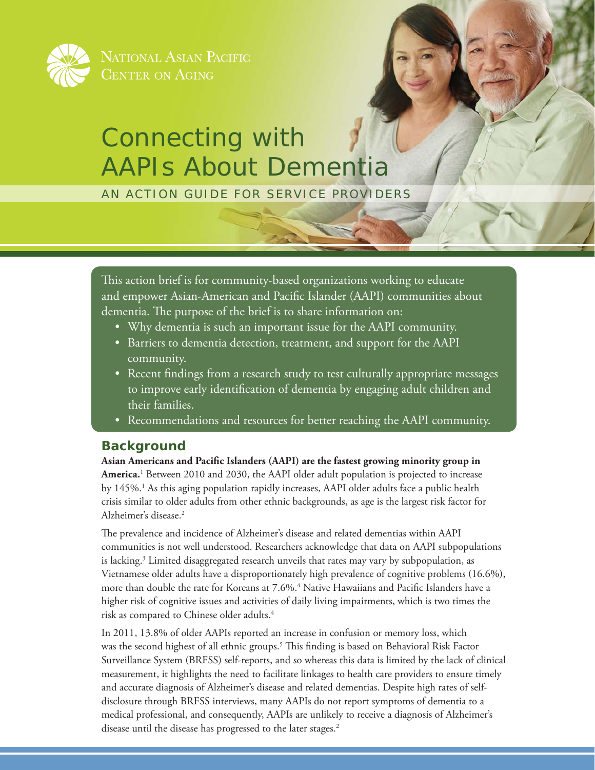

NATIONAL ASIAN PACIFIC

# Connecting with AAPIs About Dementia

AN ACTION GUIDE FOR SERVICE PROVIDERS

This action brief is for community-based organizations working to educate and empower Asian-American and Pacific Islander (AAPI) communities about dementia. The purpose of the brief is to share information on:

- Why dementia is such an important issue for the AAPI community.
- Barriers to dementia detection, treatment, and support for the AAPI community.
- Recent findings from a research study to test culturally appropriate messages to improve early identification of dementia by engaging adult children and their families.
- Recommendations and resources for better reaching the AAPI community.

# **Background**

**Asian Americans and Pacific Islanders (AAPI) are the fastest growing minority group in**  America.<sup>1</sup> Between 2010 and 2030, the AAPI older adult population is projected to increase by 145%.<sup>1</sup> As this aging population rapidly increases, AAPI older adults face a public health crisis similar to older adults from other ethnic backgrounds, as age is the largest risk factor for Alzheimer's disease.<sup>2</sup>

The prevalence and incidence of Alzheimer's disease and related dementias within AAPI communities is not well understood. Researchers acknowledge that data on AAPI subpopulations is lacking.<sup>3</sup> Limited disaggregated research unveils that rates may vary by subpopulation, as Vietnamese older adults have a disproportionately high prevalence of cognitive problems (16.6%), more than double the rate for Koreans at 7.6%.4 Native Hawaiians and Pacific Islanders have a higher risk of cognitive issues and activities of daily living impairments, which is two times the risk as compared to Chinese older adults.<sup>4</sup>

In 2011, 13.8% of older AAPIs reported an increase in confusion or memory loss, which was the second highest of all ethnic groups.5 This finding is based on Behavioral Risk Factor Surveillance System (BRFSS) self-reports, and so whereas this data is limited by the lack of clinical measurement, it highlights the need to facilitate linkages to health care providers to ensure timely and accurate diagnosis of Alzheimer's disease and related dementias. Despite high rates of selfdisclosure through BRFSS interviews, many AAPIs do not report symptoms of dementia to a medical professional, and consequently, AAPIs are unlikely to receive a diagnosis of Alzheimer's disease until the disease has progressed to the later stages.<sup>2</sup>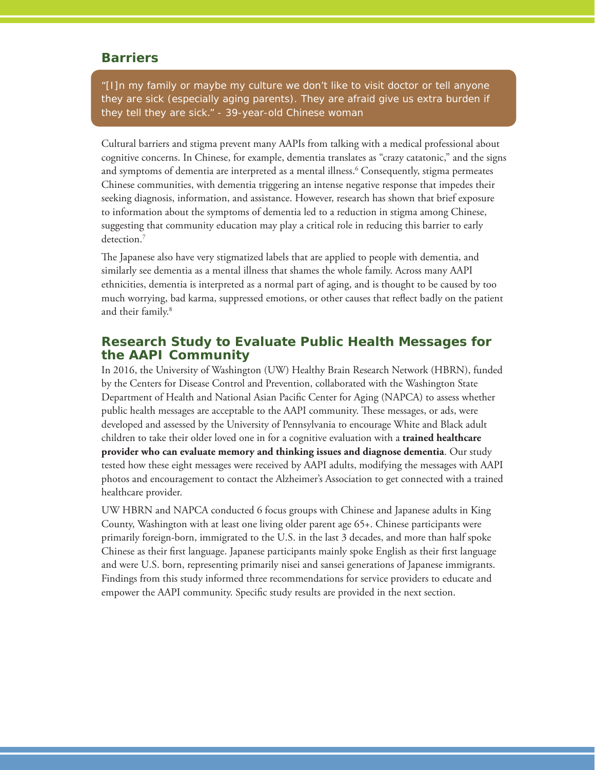# **Barriers**

*"[I]n my family or maybe my culture we don't like to visit doctor or tell anyone they are sick (especially aging parents). They are afraid give us extra burden if they tell they are sick*." *- 39-year-old Chinese woman*

Cultural barriers and stigma prevent many AAPIs from talking with a medical professional about cognitive concerns. In Chinese, for example, dementia translates as "crazy catatonic," and the signs and symptoms of dementia are interpreted as a mental illness.<sup>6</sup> Consequently, stigma permeates Chinese communities, with dementia triggering an intense negative response that impedes their seeking diagnosis, information, and assistance. However, research has shown that brief exposure to information about the symptoms of dementia led to a reduction in stigma among Chinese, suggesting that community education may play a critical role in reducing this barrier to early detection.<sup>7</sup>

The Japanese also have very stigmatized labels that are applied to people with dementia, and similarly see dementia as a mental illness that shames the whole family. Across many AAPI ethnicities, dementia is interpreted as a normal part of aging, and is thought to be caused by too much worrying, bad karma, suppressed emotions, or other causes that reflect badly on the patient and their family.<sup>8</sup>

# **Research Study to Evaluate Public Health Messages for the AAPI Community**

In 2016, the University of Washington (UW) Healthy Brain Research Network (HBRN), funded by the Centers for Disease Control and Prevention, collaborated with the Washington State Department of Health and National Asian Pacific Center for Aging (NAPCA) to assess whether public health messages are acceptable to the AAPI community. These messages, or ads, were developed and assessed by the University of Pennsylvania to encourage White and Black adult children to take their older loved one in for a cognitive evaluation with a **trained healthcare provider who can evaluate memory and thinking issues and diagnose dementia**. Our study tested how these eight messages were received by AAPI adults, modifying the messages with AAPI photos and encouragement to contact the Alzheimer's Association to get connected with a trained healthcare provider.

UW HBRN and NAPCA conducted 6 focus groups with Chinese and Japanese adults in King County, Washington with at least one living older parent age 65+. Chinese participants were primarily foreign-born, immigrated to the U.S. in the last 3 decades, and more than half spoke Chinese as their first language. Japanese participants mainly spoke English as their first language and were U.S. born, representing primarily nisei and sansei generations of Japanese immigrants. Findings from this study informed three recommendations for service providers to educate and empower the AAPI community. Specific study results are provided in the next section.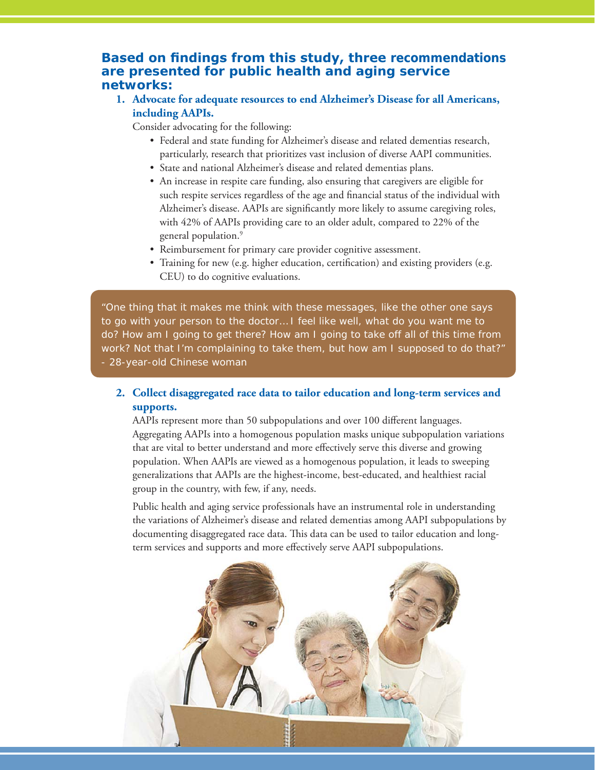# **Based on findings from this study, three recommendations are presented for public health and aging service networks:**

**1. Advocate for adequate resources to end Alzheimer's Disease for all Americans, including AAPIs.**

Consider advocating for the following:

- Federal and state funding for Alzheimer's disease and related dementias research, particularly, research that prioritizes vast inclusion of diverse AAPI communities.
- State and national Alzheimer's disease and related dementias plans.
- An increase in respite care funding, also ensuring that caregivers are eligible for such respite services regardless of the age and financial status of the individual with Alzheimer's disease. AAPIs are significantly more likely to assume caregiving roles, with 42% of AAPIs providing care to an older adult, compared to 22% of the general population.<sup>9</sup>
- Reimbursement for primary care provider cognitive assessment.
- Training for new (e.g. higher education, certification) and existing providers (e.g. CEU) to do cognitive evaluations.

*"One thing that it makes me think with these messages, like the other one says to go with your person to the doctor… I feel like well, what do you want me to do? How am I going to get there? How am I going to take off all of this time from work? Not that I'm complaining to take them, but how am I supposed to do that?*" *- 28-year-old Chinese woman*

# **2. Collect disaggregated race data to tailor education and long-term services and supports.**

AAPIs represent more than 50 subpopulations and over 100 different languages. Aggregating AAPIs into a homogenous population masks unique subpopulation variations that are vital to better understand and more effectively serve this diverse and growing population. When AAPIs are viewed as a homogenous population, it leads to sweeping generalizations that AAPIs are the highest-income, best-educated, and healthiest racial group in the country, with few, if any, needs.

Public health and aging service professionals have an instrumental role in understanding the variations of Alzheimer's disease and related dementias among AAPI subpopulations by documenting disaggregated race data. This data can be used to tailor education and longterm services and supports and more effectively serve AAPI subpopulations.

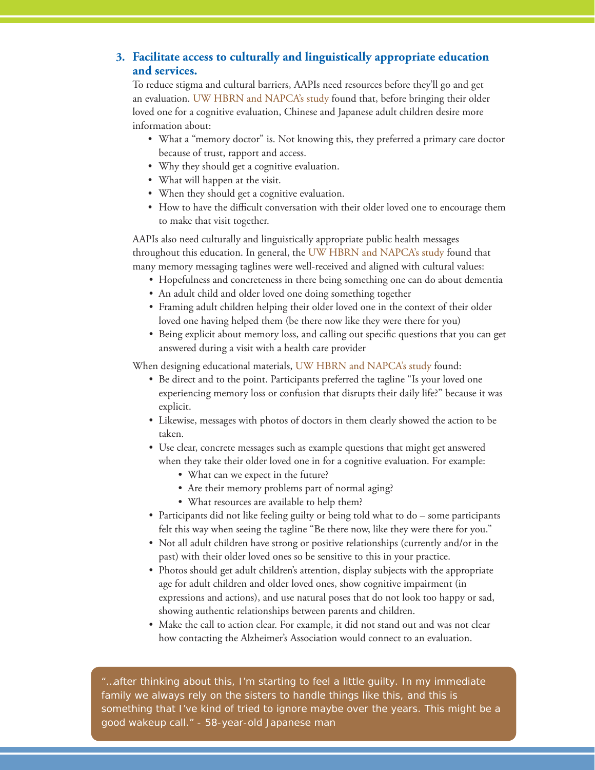# **3. Facilitate access to culturally and linguistically appropriate education and services.**

To reduce stigma and cultural barriers, AAPIs need resources before they'll go and get an evaluation. UW HBRN and NAPCA's study found that, before bringing their older loved one for a cognitive evaluation, Chinese and Japanese adult children desire more information about:

- What a "memory doctor" is. Not knowing this, they preferred a primary care doctor because of trust, rapport and access.
- Why they should get a cognitive evaluation.
- What will happen at the visit.
- When they should get a cognitive evaluation.
- How to have the difficult conversation with their older loved one to encourage them to make that visit together.

AAPIs also need culturally and linguistically appropriate public health messages throughout this education. In general, the UW HBRN and NAPCA's study found that many memory messaging taglines were well-received and aligned with cultural values:

- Hopefulness and concreteness in there being something one can do about dementia
- An adult child and older loved one doing something together
- Framing adult children helping their older loved one in the context of their older loved one having helped them (be there now like they were there for you)
- Being explicit about memory loss, and calling out specific questions that you can get answered during a visit with a health care provider

When designing educational materials, UW HBRN and NAPCA's study found:

- Be direct and to the point. Participants preferred the tagline "Is your loved one experiencing memory loss or confusion that disrupts their daily life?" because it was explicit.
- Likewise, messages with photos of doctors in them clearly showed the action to be taken.
- Use clear, concrete messages such as example questions that might get answered when they take their older loved one in for a cognitive evaluation. For example:
	- What can we expect in the future?
	- Are their memory problems part of normal aging?
	- What resources are available to help them?
- Participants did not like feeling guilty or being told what to do some participants felt this way when seeing the tagline "Be there now, like they were there for you."
- Not all adult children have strong or positive relationships (currently and/or in the past) with their older loved ones so be sensitive to this in your practice.
- Photos should get adult children's attention, display subjects with the appropriate age for adult children and older loved ones, show cognitive impairment (in expressions and actions), and use natural poses that do not look too happy or sad, showing authentic relationships between parents and children.
- Make the call to action clear. For example, it did not stand out and was not clear how contacting the Alzheimer's Association would connect to an evaluation.

*"…after thinking about this, I'm starting to feel a little guilty. In my immediate*  family we always rely on the sisters to handle things like this, and this is *something that I've kind of tried to ignore maybe over the years. This might be a good wakeup call.*" *- 58-year-old Japanese man*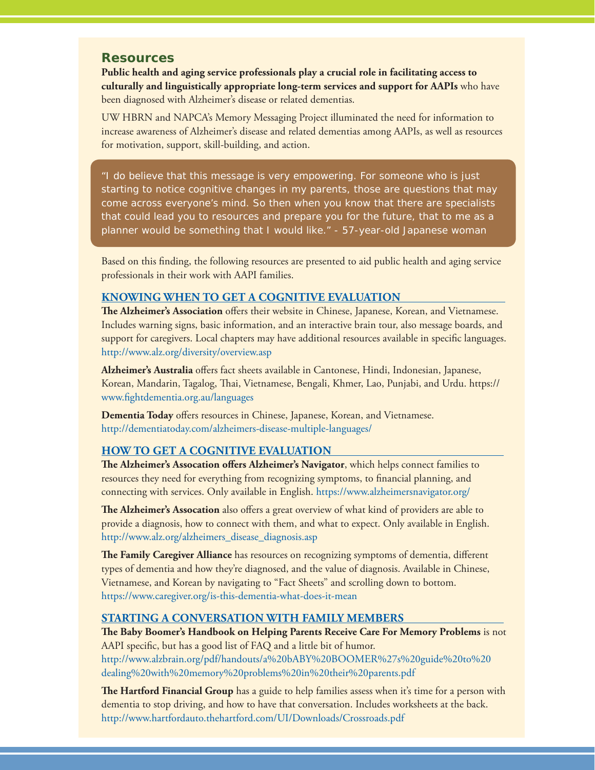# **Resources**

**Public health and aging service professionals play a crucial role in facilitating access to culturally and linguistically appropriate long-term services and support for AAPIs** who have been diagnosed with Alzheimer's disease or related dementias.

UW HBRN and NAPCA's Memory Messaging Project illuminated the need for information to increase awareness of Alzheimer's disease and related dementias among AAPIs, as well as resources for motivation, support, skill-building, and action.

*"I do believe that this message is very empowering. For someone who is just starting to notice cognitive changes in my parents, those are questions that may come across everyone's mind. So then when you know that there are specialists that could lead you to resources and prepare you for the future, that to me as a planner would be something that I would like.*" *- 57-year-old Japanese woman*

Based on this finding, the following resources are presented to aid public health and aging service professionals in their work with AAPI families.

#### **KNOWING WHEN TO GET A COGNITIVE EVALUATION**

**The Alzheimer's Association** offers their website in Chinese, Japanese, Korean, and Vietnamese. Includes warning signs, basic information, and an interactive brain tour, also message boards, and support for caregivers. Local chapters may have additional resources available in specific languages. <http://www.alz.org/diversity/overview.asp>

**Alzheimer's Australia** offers fact sheets available in Cantonese, Hindi, Indonesian, Japanese, Korean, Mandarin, Tagalog, Thai, Vietnamese, Bengali, Khmer, Lao, Punjabi, and Urdu. [https://](https://www.fightdementia.org.au/languages) [www.fightdementia.org.au/languages](https://www.fightdementia.org.au/languages)

**Dementia Today** offers resources in Chinese, Japanese, Korean, and Vietnamese. <http://dementiatoday.com/alzheimers-disease-multiple-languages/>

# **HOW TO GET A COGNITIVE EVALUATION**

**The Alzheimer's Assocation offers Alzheimer's Navigator**, which helps connect families to resources they need for everything from recognizing symptoms, to financial planning, and connecting with services. Only available in English.<https://www.alzheimersnavigator.org/>

**The Alzheimer's Assocation** also offers a great overview of what kind of providers are able to provide a diagnosis, how to connect with them, and what to expect. Only available in English. [http://www.alz.org/alzheimers\\_disease\\_diagnosis.asp](http://www.alz.org/alzheimers_disease_diagnosis.asp)

**The Family Caregiver Alliance** has resources on recognizing symptoms of dementia, different types of dementia and how they're diagnosed, and the value of diagnosis. Available in Chinese, Vietnamese, and Korean by navigating to "Fact Sheets" and scrolling down to bottom. <https://www.caregiver.org/is-this-dementia-what-does-it-mean>

#### **STARTING A CONVERSATION WITH FAMILY MEMBERS**

**The Baby Boomer's Handbook on Helping Parents Receive Care For Memory Problems** is not AAPI specific, but has a good list of FAQ and a little bit of humor.

[http://www.alzbrain.org/pdf/handouts/a%20bABY%20BOOMER%27s%20guide%20to%20](http://www.alzbrain.org/pdf/handouts/a%20bABY%20BOOMER%27s%20guide%20to%20dealing%20with%20memory%20problems%20in%20their%20parents.pdf) dealing%20with%20memory%20problems%20in%20their%20parents.pdf

**The Hartford Financial Group** has a guide to help families assess when it's time for a person with dementia to stop driving, and how to have that conversation. Includes worksheets at the back. <http://www.hartfordauto.thehartford.com/UI/Downloads/Crossroads.pdf>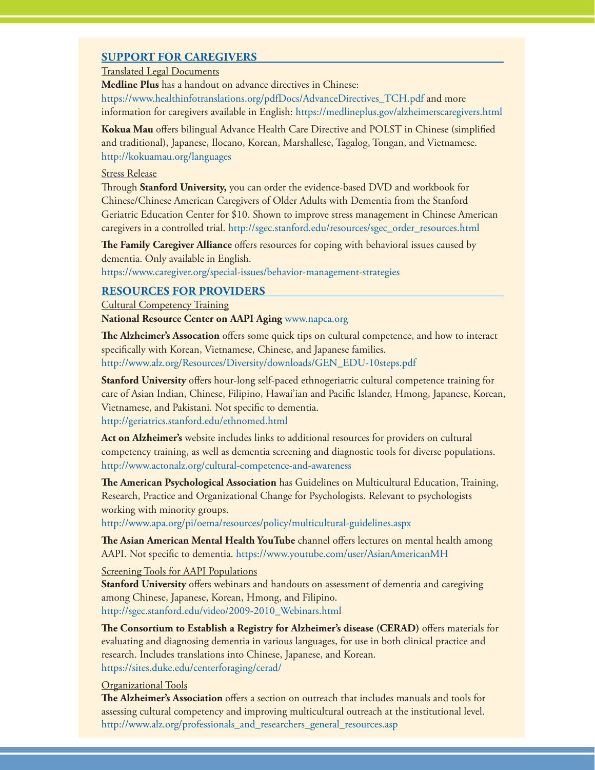# **SUPPORT FOR CAREGIVERS**

#### Translated Legal Documents

**Medline Plus** has a handout on advance directives in Chinese: [https://www.healthinfotranslations.org/pdfDocs/AdvanceDirectives\\_TCH.pdf an](https://www.healthinfotranslations.org/pdfDocs/AdvanceDirectives_TCH.pdf)d more information for caregivers available in English:<https://medlineplus.gov/alzheimerscaregivers.html>

**Kokua Mau** offers bilingual Advance Health Care Directive and POLST in Chinese (simplified and traditional), Japanese, Ilocano, Korean, Marshallese, Tagalog, Tongan, and Vietnamese. <http://kokuamau.org/languages>

#### Stress Release

Through **Stanford University,** you can order the evidence-based DVD and workbook for Chinese/Chinese American Caregivers of Older Adults with Dementia from the Stanford Geriatric Education Center for \$10. Shown to improve stress management in Chinese American caregivers in a controlled trial. [http://sgec.stanford.edu/resources/sgec\\_order\\_resources.html](http://sgec.stanford.edu/resources/sgec_order_resources.html)

**The Family Caregiver Alliance** offers resources for coping with behavioral issues caused by dementia. Only available in English.

<https://www.caregiver.org/special-issues/behavior-management-strategies>

# **RESOURCES FOR PROVIDERS**

Cultural Competency Training

**National Resource Center on AAPI Aging** [www.napca.org](http://www.napca.org) 

**The Alzheimer's Assocation** offers some quick tips on cultural competence, and how to interact specifically with Korean, Vietnamese, Chinese, and Japanese families. [http://www.alz.org/Resources/Diversity/downloads/GEN\\_EDU-10steps.pdf](http://www.alz.org/Resources/Diversity/downloads/GEN_EDU-10steps.pdf)

**Stanford University** offers hour-long self-paced ethnogeriatric cultural competence training for care of Asian Indian, Chinese, Filipino, Hawai'ian and Pacific Islander, Hmong, Japanese, Korean, Vietnamese, and Pakistani. Not specific to dementia. <http://geriatrics.stanford.edu/ethnomed.html>

**Act on Alzheimer's** website includes links to additional resources for providers on cultural competency training, as well as dementia screening and diagnostic tools for diverse populations. <http://www.actonalz.org/cultural-competence-and-awareness>

**The American Psychological Association** has Guidelines on Multicultural Education, Training, Research, Practice and Organizational Change for Psychologists. Relevant to psychologists working with minority groups.

<http://www.apa.org/pi/oema/resources/policy/multicultural-guidelines.aspx>

**The Asian American Mental Health YouTube** channel offers lectures on mental health among AAPI. Not specific to dementia. <https://www.youtube.com/user/AsianAmericanMH>

#### Screening Tools for AAPI Populations

**Stanford University** offers webinars and handouts on assessment of dementia and caregiving among Chinese, Japanese, Korean, Hmong, and Filipino. [http://sgec.stanford.edu/video/2009-2010\\_Webinars.html](http://sgec.stanford.edu/video/2009-2010_Webinars.html)

**The Consortium to Establish a Registry for Alzheimer's disease (CERAD)** offers materials for evaluating and diagnosing dementia in various languages, for use in both clinical practice and research. Includes translations into Chinese, Japanese, and Korean. <https://sites.duke.edu/centerforaging/cerad/>

#### Organizational Tools

**The Alzheimer's Association** offers a section on outreach that includes manuals and tools for assessing cultural competency and improving multicultural outreach at the institutional level. [http://www.alz.org/professionals\\_and\\_researchers\\_general\\_resources.asp](http://www.alz.org/professionals_and_researchers_general_resources.asp)